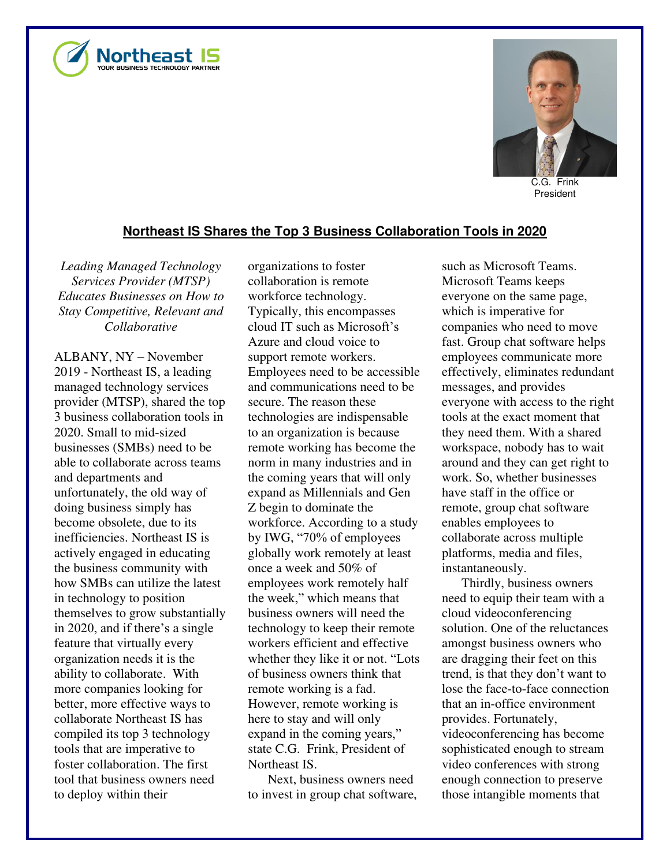



C.G. Frink President

## **Northeast IS Shares the Top 3 Business Collaboration Tools in 2020**

*Leading Managed Technology Services Provider (MTSP) Educates Businesses on How to Stay Competitive, Relevant and Collaborative* 

ALBANY, NY – November 2019 - Northeast IS, a leading managed technology services provider (MTSP), shared the top 3 business collaboration tools in 2020. Small to mid-sized businesses (SMBs) need to be able to collaborate across teams and departments and unfortunately, the old way of doing business simply has become obsolete, due to its inefficiencies. Northeast IS is actively engaged in educating the business community with how SMBs can utilize the latest in technology to position themselves to grow substantially in 2020, and if there's a single feature that virtually every organization needs it is the ability to collaborate. With more companies looking for better, more effective ways to collaborate Northeast IS has compiled its top 3 technology tools that are imperative to foster collaboration. The first tool that business owners need to deploy within their

organizations to foster collaboration is remote workforce technology. Typically, this encompasses cloud IT such as Microsoft's Azure and cloud voice to support remote workers. Employees need to be accessible and communications need to be secure. The reason these technologies are indispensable to an organization is because remote working has become the norm in many industries and in the coming years that will only expand as Millennials and Gen Z begin to dominate the workforce. According to a study by IWG, "70% of employees globally work remotely at least once a week and 50% of employees work remotely half the week," which means that business owners will need the technology to keep their remote workers efficient and effective whether they like it or not. "Lots of business owners think that remote working is a fad. However, remote working is here to stay and will only expand in the coming years," state C.G. Frink, President of Northeast IS.

Next, business owners need to invest in group chat software, such as Microsoft Teams. Microsoft Teams keeps everyone on the same page, which is imperative for companies who need to move fast. Group chat software helps employees communicate more effectively, eliminates redundant messages, and provides everyone with access to the right tools at the exact moment that they need them. With a shared workspace, nobody has to wait around and they can get right to work. So, whether businesses have staff in the office or remote, group chat software enables employees to collaborate across multiple platforms, media and files, instantaneously.

Thirdly, business owners need to equip their team with a cloud videoconferencing solution. One of the reluctances amongst business owners who are dragging their feet on this trend, is that they don't want to lose the face-to-face connection that an in-office environment provides. Fortunately, videoconferencing has become sophisticated enough to stream video conferences with strong enough connection to preserve those intangible moments that